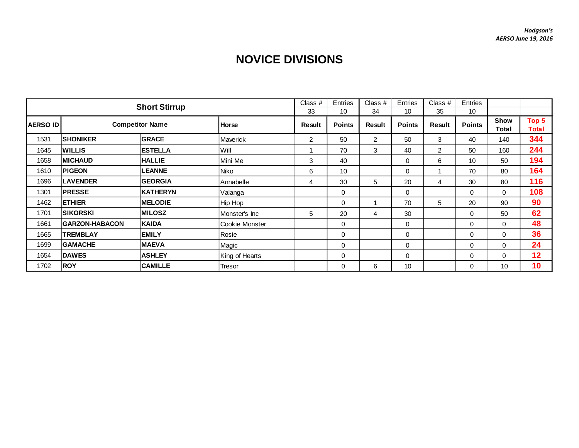## **NOVICE DIVISIONS**

|                 | <b>Short Stirrup</b>   |                 |                |        |               | Class #<br>34  | Entries<br>10 | Class $#$<br>35 | Entries<br>10 |                             |                |
|-----------------|------------------------|-----------------|----------------|--------|---------------|----------------|---------------|-----------------|---------------|-----------------------------|----------------|
| <b>AERSO ID</b> | <b>Competitor Name</b> |                 | <b>Horse</b>   | Result | <b>Points</b> | Result         | <b>Points</b> | Result          | <b>Points</b> | <b>Show</b><br><b>Total</b> | Top 5<br>Total |
| 1531            | <b>SHONIKER</b>        | <b>GRACE</b>    | Maverick       | 2      | 50            | $\overline{2}$ | 50            | 3               | 40            | 140                         | 344            |
| 1645            | <b>WILLIS</b>          | <b>ESTELLA</b>  | Will           |        | 70            | 3              | 40            | 2               | 50            | 160                         | 244            |
| 1658            | <b>IMICHAUD</b>        | <b>HALLIE</b>   | Mini Me        | 3      | 40            |                | 0             | 6               | 10            | 50                          | 194            |
| 1610            | <b>PIGEON</b>          | <b>LEANNE</b>   | Niko           | 6      | 10            |                | 0             |                 | 70            | 80                          | 164            |
| 1696            | <b>LAVENDER</b>        | <b>GEORGIA</b>  | Annabelle      | 4      | 30            | 5              | 20            | 4               | 30            | 80                          | 116            |
| 1301            | <b>PRESSE</b>          | <b>KATHERYN</b> | Valanga        |        | 0             |                | $\mathbf 0$   |                 | $\Omega$      | $\Omega$                    | 108            |
| 1462            | <b>ETHIER</b>          | <b>MELODIE</b>  | Hip Hop        |        | $\Omega$      |                | 70            | 5               | 20            | 90                          | 90             |
| 1701            | <b>SIKORSKI</b>        | <b>MILOSZ</b>   | Monster's Inc  | 5      | 20            | 4              | 30            |                 | 0             | 50                          | 62             |
| 1661            | <b>GARZON-HABACON</b>  | <b>KAIDA</b>    | Cookie Monster |        | 0             |                | $\mathbf 0$   |                 | $\Omega$      | 0                           | 48             |
| 1665            | <b>TREMBLAY</b>        | <b>EMILY</b>    | Rosie          |        | 0             |                | $\mathbf 0$   |                 | $\Omega$      | 0                           | 36             |
| 1699            | <b>GAMACHE</b>         | <b>MAEVA</b>    | Magic          |        | 0             |                | $\mathbf 0$   |                 | 0             | 0                           | 24             |
| 1654            | <b>DAWES</b>           | <b>ASHLEY</b>   | King of Hearts |        | 0             |                | 0             |                 | $\mathbf 0$   | $\mathbf 0$                 | 12             |
| 1702            | <b>ROY</b>             | <b>CAMILLE</b>  | Tresor         |        | 0             | 6              | 10            |                 | 0             | 10                          | 10             |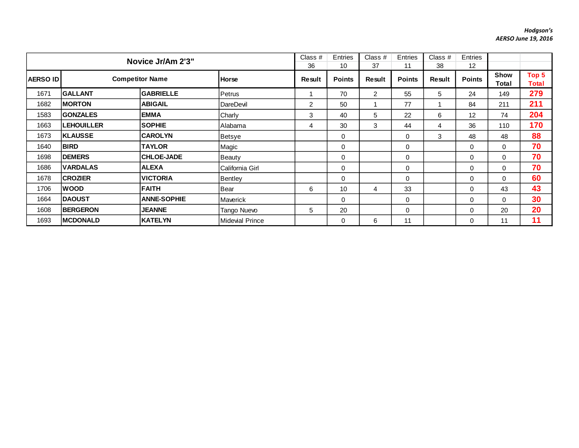## *Hodgson's AERSO June 19, 2016*

|                 | Novice Jr/Am 2'3"      |                    |                        |              | Entries<br>10 | Class $#$<br>37 | Entries<br>11 | Class $#$<br>38 | Entries<br>12 |                             |                |
|-----------------|------------------------|--------------------|------------------------|--------------|---------------|-----------------|---------------|-----------------|---------------|-----------------------------|----------------|
| <b>AERSO ID</b> | <b>Competitor Name</b> |                    | Horse                  | 36<br>Result | <b>Points</b> | Result          | <b>Points</b> | Result          | <b>Points</b> | <b>Show</b><br><b>Total</b> | Top 5<br>Total |
| 1671            | <b>GALLANT</b>         | <b>GABRIELLE</b>   | Petrus                 |              | 70            | $\overline{2}$  | 55            | 5               | 24            | 149                         | 279            |
| 1682            | <b>IMORTON</b>         | <b>ABIGAIL</b>     | DareDevil              | 2            | 50            |                 | 77            |                 | 84            | 211                         | 211            |
| 1583            | <b>GONZALES</b>        | <b>EMMA</b>        | Charly                 | 3            | 40            | 5               | 22            | 6               | 12            | 74                          | 204            |
| 1663            | <b>LEHOUILLER</b>      | <b>SOPHIE</b>      | Alabama                | 4            | 30            | 3               | 44            | 4               | 36            | 110                         | 170            |
| 1673            | <b>KLAUSSE</b>         | <b>CAROLYN</b>     | Betsye                 |              | 0             |                 | $\mathbf 0$   | 3               | 48            | 48                          | 88             |
| 1640            | <b>BIRD</b>            | <b>TAYLOR</b>      | Magic                  |              | $\Omega$      |                 | $\mathbf 0$   |                 | $\Omega$      | $\Omega$                    | 70             |
| 1698            | <b>DEMERS</b>          | <b>CHLOE-JADE</b>  | Beauty                 |              | 0             |                 | 0             |                 | 0             | $\Omega$                    | 70             |
| 1686            | <b>IVARDALAS</b>       | <b>ALEXA</b>       | California Girl        |              | 0             |                 | $\mathbf 0$   |                 | $\Omega$      | $\Omega$                    | 70             |
| 1678            | <b>CROZIER</b>         | <b>VICTORIA</b>    | <b>Bentley</b>         |              | 0             |                 | 0             |                 | 0             | 0                           | 60             |
| 1706            | <b>WOOD</b>            | <b>FAITH</b>       | Bear                   | 6            | 10            | 4               | 33            |                 | $\Omega$      | 43                          | 43             |
| 1664            | <b>IDAOUST</b>         | <b>ANNE-SOPHIE</b> | Maverick               |              | 0             |                 | 0             |                 | 0             | $\mathbf 0$                 | 30             |
| 1608            | <b>BERGERON</b>        | <b>JEANNE</b>      | Tango Nuevo            | 5            | 20            |                 | $\mathbf 0$   |                 | $\Omega$      | 20                          | 20             |
| 1693            | <b>IMCDONALD</b>       | <b>KATELYN</b>     | <b>Midevial Prince</b> |              | $\Omega$      | 6               | 11            |                 | 0             | 11                          | 11             |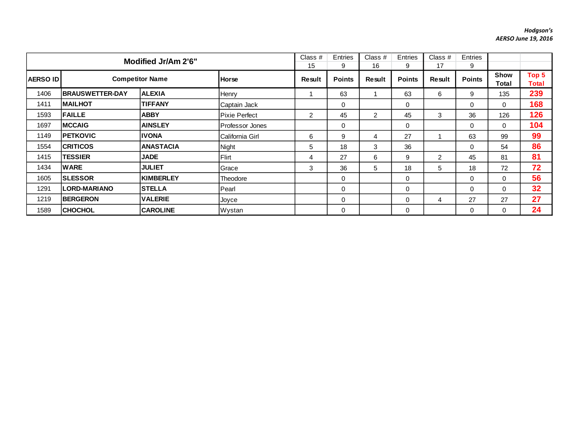## *Hodgson's AERSO June 19, 2016*

|      | Modified Jr/Am 2'6"                       |                  |                 |                | <b>Entries</b><br>9 | Class $#$<br>16 | Entries<br>9  | Class #<br>17  | Entries<br>9  |                      |                |
|------|-------------------------------------------|------------------|-----------------|----------------|---------------------|-----------------|---------------|----------------|---------------|----------------------|----------------|
|      | <b>Competitor Name</b><br><b>AERSO ID</b> |                  | <b>Horse</b>    | Result         | <b>Points</b>       | <b>Result</b>   | <b>Points</b> | <b>Result</b>  | <b>Points</b> | <b>Show</b><br>Total | Top 5<br>Total |
| 1406 | <b>IBRAUSWETTER-DAY</b>                   | <b>ALEXIA</b>    | Henry           |                | 63                  |                 | 63            | 6              | 9             | 135                  | 239            |
| 1411 | <b>IMAILHOT</b>                           | <b>TIFFANY</b>   | Captain Jack    |                | 0                   |                 | $\mathbf 0$   |                | $\Omega$      | 0                    | 168            |
| 1593 | <b>FAILLE</b>                             | <b>ABBY</b>      | Pixie Perfect   | $\overline{2}$ | 45                  | 2               | 45            | 3              | 36            | 126                  | 126            |
| 1697 | <b>IMCCAIG</b>                            | <b>AINSLEY</b>   | Professor Jones |                | $\Omega$            |                 | $\Omega$      |                | $\Omega$      | $\Omega$             | 104            |
| 1149 | <b>IPETKOVIC</b>                          | IIVONA           | California Girl | 6              | 9                   | 4               | 27            |                | 63            | 99                   | 99             |
| 1554 | <b>ICRITICOS</b>                          | <b>ANASTACIA</b> | Night           | 5              | 18                  | 3               | 36            |                | $\mathbf 0$   | 54                   | 86             |
| 1415 | <b>TESSIER</b>                            | <b>JADE</b>      | Flirt           | 4              | 27                  | 6               | 9             | $\overline{2}$ | 45            | 81                   | 81             |
| 1434 | <b>WARE</b>                               | <b>JULIET</b>    | Grace           | 3              | 36                  | 5               | 18            | 5              | 18            | 72                   | 72             |
| 1605 | <b>ISLESSOR</b>                           | <b>KIMBERLEY</b> | Theodore        |                | $\Omega$            |                 | $\mathbf 0$   |                | $\Omega$      | $\Omega$             | 56             |
| 1291 | <b>LORD-MARIANO</b>                       | ISTELLA          | Pearl           |                | $\Omega$            |                 | $\mathbf 0$   |                | $\Omega$      | $\Omega$             | 32             |
| 1219 | <b>BERGERON</b>                           | <b>VALERIE</b>   | Joyce           |                | 0                   |                 | 0             | 4              | 27            | 27                   | 27             |
| 1589 | <b>CHOCHOL</b>                            | <b>CAROLINE</b>  | Wystan          |                | $\Omega$            |                 | $\mathbf 0$   |                | $\Omega$      | 0                    | 24             |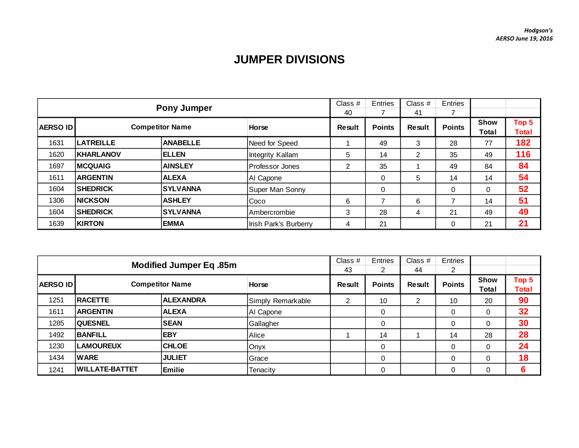## **JUMPER DIVISIONS**

| <b>Pony Jumper</b> |                  |                        | Class $#$<br>40       | Entries | Class $#$<br>41 | Entries       |               |                      |                       |
|--------------------|------------------|------------------------|-----------------------|---------|-----------------|---------------|---------------|----------------------|-----------------------|
| <b>AERSO ID</b>    |                  | <b>Competitor Name</b> | <b>Horse</b>          | Result  | <b>Points</b>   | <b>Result</b> | <b>Points</b> | <b>Show</b><br>Total | Top 5<br><b>Total</b> |
| 1631               | <b>LATREILLE</b> | <b>ANABELLE</b>        | Need for Speed        |         | 49              | 3             | 28            | 77                   | 182                   |
| 1620               | <b>KHARLANOV</b> | <b>IELLEN</b>          | Integrity Kallam      | 5       | 14              | 2             | 35            | 49                   | 116                   |
| 1697               | <b>MCQUAIG</b>   | <b>AINSLEY</b>         | Professor Jones       | 2       | 35              |               | 49            | 84                   | 84                    |
| 1611               | <b>ARGENTIN</b>  | <b>ALEXA</b>           | Al Capone             |         |                 | 5             | 14            | 14                   | 54                    |
| 1604               | <b>SHEDRICK</b>  | <b>ISYLVANNA</b>       | Super Man Sonny       |         |                 |               | 0             | 0                    | 52                    |
| 1306               | <b>NICKSON</b>   | <b>ASHLEY</b>          | Coco                  | 6       |                 | 6             |               | 14                   | 51                    |
| 1604               | <b>SHEDRICK</b>  | <b>ISYLVANNA</b>       | <b>Ambercrombie</b>   | 3       | 28              | 4             | 21            | 49                   | 49                    |
| 1639               | <b>KIRTON</b>    | <b>EMMA</b>            | Irish Park's Burberry | 4       | 21              |               | 0             | 21                   | 21                    |

| <b>Modified Jumper Eq. 85m</b> |                       |                        |                   |               | Entries<br>2  | Class $#$<br>44 | Entries<br>2  |               |                       |
|--------------------------------|-----------------------|------------------------|-------------------|---------------|---------------|-----------------|---------------|---------------|-----------------------|
| <b>AERSO ID</b>                |                       | <b>Competitor Name</b> | <b>Horse</b>      | <b>Result</b> | <b>Points</b> | Result          | <b>Points</b> | Show<br>Total | Top 5<br><b>Total</b> |
| 1251                           | <b>RACETTE</b>        | <b>ALEXANDRA</b>       | Simply Remarkable | 2             | 10            | 2               | 10            | 20            | 90                    |
| 1611                           | <b>ARGENTIN</b>       | <b>ALEXA</b>           | Al Capone         |               | 0             |                 | 0             | $\Omega$      | 32                    |
| 1285                           | <b>QUESNEL</b>        | <b>SEAN</b>            | Gallagher         |               | 0             |                 | $\mathbf 0$   | 0             | 30                    |
| 1492                           | <b>BANFILL</b>        | <b>EBY</b>             | Alice             |               | 14            |                 | 14            | 28            | 28                    |
| 1230                           | <b>LAMOUREUX</b>      | <b>CHLOE</b>           | Onyx              |               | 0             |                 | 0             | $\Omega$      | 24                    |
| 1434                           | <b>WARE</b>           | <b>JULIET</b>          | Grace             |               | 0             |                 | 0             | $\Omega$      | 18                    |
| 1241                           | <b>WILLATE-BATTET</b> | <b>Emilie</b>          | Tenacity          |               | 0             |                 | 0             |               | 6                     |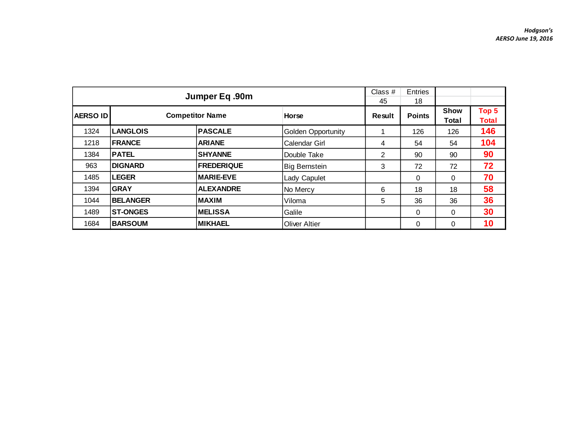|                 | Jumper Eq.90m   | Class $#$<br>45        | Entries<br>18             |        |               |                      |                       |
|-----------------|-----------------|------------------------|---------------------------|--------|---------------|----------------------|-----------------------|
| <b>AERSO ID</b> |                 | <b>Competitor Name</b> | <b>Horse</b>              | Result | <b>Points</b> | <b>Show</b><br>Total | Top 5<br><b>Total</b> |
| 1324            | <b>LANGLOIS</b> | <b>PASCALE</b>         | <b>Golden Opportunity</b> |        | 126           | 126                  | 146                   |
| 1218            | <b>FRANCE</b>   | <b>ARIANE</b>          | <b>Calendar Girl</b>      | 4      | 54            | 54                   | 104                   |
| 1384            | <b>PATEL</b>    | <b>SHYANNE</b>         | Double Take               | 2      | 90            | 90                   | 90                    |
| 963             | <b>DIGNARD</b>  | <b>FREDERIQUE</b>      | <b>Big Bernstein</b>      | 3      | 72            | 72                   | 72                    |
| 1485            | <b>LEGER</b>    | <b>MARIE-EVE</b>       | Lady Capulet              |        | 0             | 0                    | 70                    |
| 1394            | <b>GRAY</b>     | <b>ALEXANDRE</b>       | No Mercy                  | 6      | 18            | 18                   | 58                    |
| 1044            | <b>BELANGER</b> | <b>MAXIM</b>           | Viloma                    | 5      | 36            | 36                   | 36                    |
| 1489            | <b>ST-ONGES</b> | <b>IMELISSA</b>        | Galile                    |        | 0             | 0                    | 30                    |
| 1684            | <b>BARSOUM</b>  | <b>MIKHAEL</b>         | <b>Oliver Altier</b>      |        | 0             | 0                    | 10                    |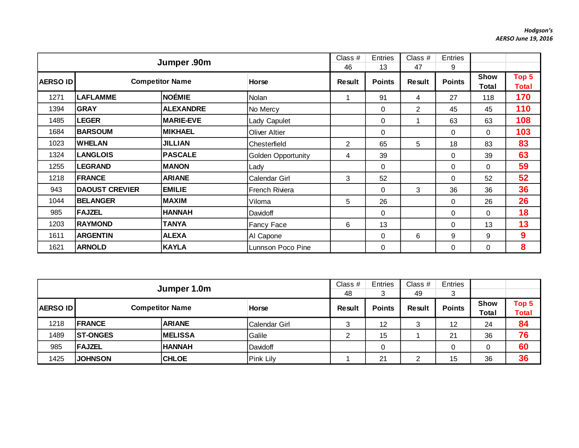|                 | Jumper .90m           |                        | Class $#$<br>46           | <b>Entries</b><br>13 | Class $#$<br>47 | Entries<br>9 |               |               |                       |
|-----------------|-----------------------|------------------------|---------------------------|----------------------|-----------------|--------------|---------------|---------------|-----------------------|
| <b>AERSO ID</b> |                       | <b>Competitor Name</b> | Horse                     | <b>Result</b>        | <b>Points</b>   | Result       | <b>Points</b> | Show<br>Total | Top 5<br><b>Total</b> |
| 1271            | <b>LAFLAMME</b>       | NOÉMIE                 | Nolan                     | 1                    | 91              | 4            | 27            | 118           | 170                   |
| 1394            | <b>GRAY</b>           | <b>ALEXANDRE</b>       | No Mercy                  |                      | $\mathbf 0$     | 2            | 45            | 45            | 110                   |
| 1485            | <b>LEGER</b>          | <b>MARIE-EVE</b>       | Lady Capulet              |                      | $\mathbf 0$     |              | 63            | 63            | 108                   |
| 1684            | <b>BARSOUM</b>        | <b>MIKHAEL</b>         | <b>Oliver Altier</b>      |                      | $\Omega$        |              | $\Omega$      | $\Omega$      | 103                   |
| 1023            | <b>WHELAN</b>         | <b>JILLIAN</b>         | Chesterfield              | 2                    | 65              | 5            | 18            | 83            | 83                    |
| 1324            | <b>LANGLOIS</b>       | <b>PASCALE</b>         | <b>Golden Opportunity</b> | 4                    | 39              |              | 0             | 39            | 63                    |
| 1255            | <b>LEGRAND</b>        | <b>MANON</b>           | Lady                      |                      | $\Omega$        |              | $\Omega$      | $\Omega$      | 59                    |
| 1218            | <b>FRANCE</b>         | <b>ARIANE</b>          | Calendar Girl             | 3                    | 52              |              | 0             | 52            | 52                    |
| 943             | <b>DAOUST CREVIER</b> | <b>EMILIE</b>          | <b>French Riviera</b>     |                      | $\Omega$        | 3            | 36            | 36            | 36                    |
| 1044            | <b>BELANGER</b>       | <b>MAXIM</b>           | Viloma                    | 5                    | 26              |              | $\Omega$      | 26            | 26                    |
| 985             | <b>FAJZEL</b>         | <b>HANNAH</b>          | Davidoff                  |                      | $\Omega$        |              | 0             | $\Omega$      | 18                    |
| 1203            | <b>RAYMOND</b>        | <b>TANYA</b>           | <b>Fancy Face</b>         | 6                    | 13              |              | $\Omega$      | 13            | 13                    |
| 1611            | <b>ARGENTIN</b>       | <b>ALEXA</b>           | Al Capone                 |                      | $\Omega$        | 6            | 9             | 9             | 9                     |
| 1621            | <b>ARNOLD</b>         | <b>KAYLA</b>           | Lunnson Poco Pine         |                      | $\Omega$        |              | $\Omega$      | 0             | 8                     |

|                                           | Jumper 1.0m     |                 | Class $#$<br>48 | <b>Entries</b><br>3 | Class $#$<br>49 | Entries<br>3  |               |                             |                       |
|-------------------------------------------|-----------------|-----------------|-----------------|---------------------|-----------------|---------------|---------------|-----------------------------|-----------------------|
| <b>Competitor Name</b><br><b>AERSO ID</b> |                 |                 | <b>Horse</b>    | <b>Result</b>       | <b>Points</b>   | <b>Result</b> | <b>Points</b> | <b>Show</b><br><b>Total</b> | Top 5<br><b>Total</b> |
| 1218                                      | <b>IFRANCE</b>  | <b>ARIANE</b>   | Calendar Girl   | ⌒                   | 12              | 3             | 12            | 24                          | 84                    |
| 1489                                      | <b>ST-ONGES</b> | <b>IMELISSA</b> | Galile          |                     | 15              |               | 21            | 36                          | 76                    |
| 985                                       | <b>FAJZEL</b>   | <b>HANNAH</b>   | Davidoff        |                     | 0               |               |               |                             | 60                    |
| 1425                                      | <b>JOHNSON</b>  | <b>CHLOE</b>    | Pink Lily       |                     | 21              | ∠             | 15            | 36                          | 36                    |